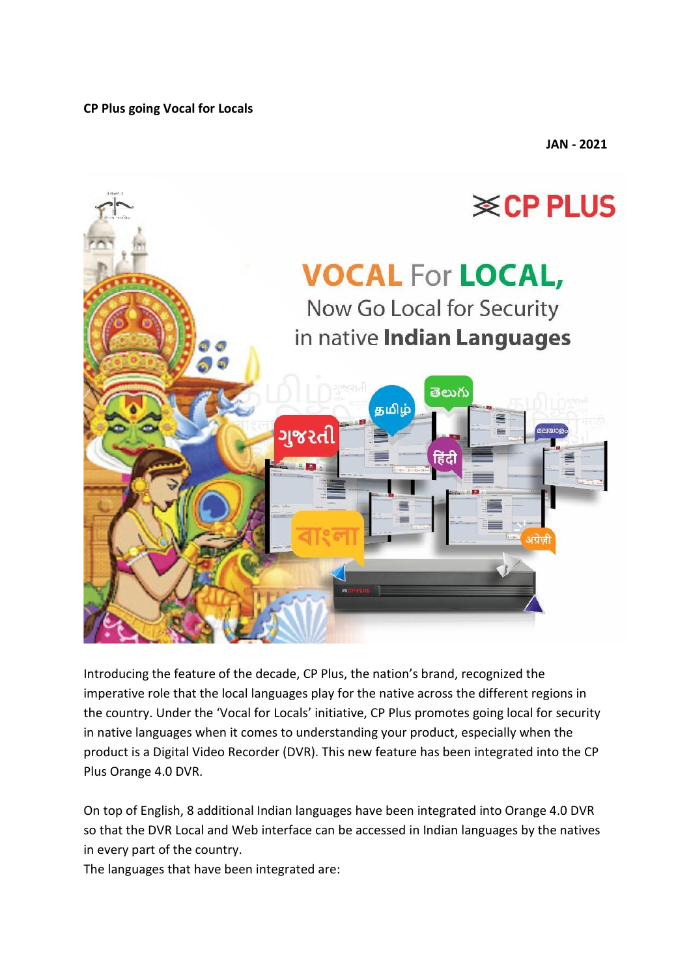**CP Plus going Vocal for Locals**

**JAN - 2021**



Introducing the feature of the decade, CP Plus, the nation's brand, recognized the imperative role that the local languages play for the native across the different regions in the country. Under the 'Vocal for Locals' initiative, CP Plus promotes going local for security in native languages when it comes to understanding your product, especially when the product is a Digital Video Recorder (DVR). This new feature has been integrated into the CP Plus Orange 4.0 DVR.

On top of English, 8 additional Indian languages have been integrated into Orange 4.0 DVR so that the DVR Local and Web interface can be accessed in Indian languages by the natives in every part of the country.

The languages that have been integrated are: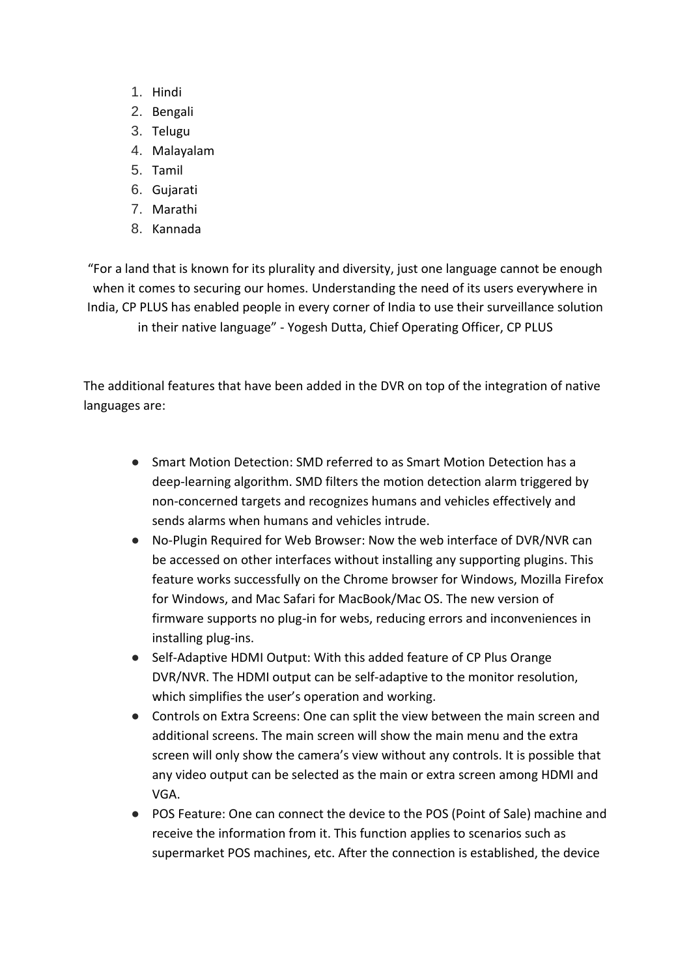- 1. Hindi
- 2. Bengali
- 3. Telugu
- 4. Malayalam
- 5. Tamil
- 6. Gujarati
- 7. Marathi
- 8. Kannada

"For a land that is known for its plurality and diversity, just one language cannot be enough when it comes to securing our homes. Understanding the need of its users everywhere in India, CP PLUS has enabled people in every corner of India to use their surveillance solution in their native language" - Yogesh Dutta, Chief Operating Officer, CP PLUS

The additional features that have been added in the DVR on top of the integration of native languages are:

- Smart Motion Detection: SMD referred to as Smart Motion Detection has a deep-learning algorithm. SMD filters the motion detection alarm triggered by non-concerned targets and recognizes humans and vehicles effectively and sends alarms when humans and vehicles intrude.
- No-Plugin Required for Web Browser: Now the web interface of DVR/NVR can be accessed on other interfaces without installing any supporting plugins. This feature works successfully on the Chrome browser for Windows, Mozilla Firefox for Windows, and Mac Safari for MacBook/Mac OS. The new version of firmware supports no plug-in for webs, reducing errors and inconveniences in installing plug-ins.
- Self-Adaptive HDMI Output: With this added feature of CP Plus Orange DVR/NVR. The HDMI output can be self-adaptive to the monitor resolution, which simplifies the user's operation and working.
- Controls on Extra Screens: One can split the view between the main screen and additional screens. The main screen will show the main menu and the extra screen will only show the camera's view without any controls. It is possible that any video output can be selected as the main or extra screen among HDMI and VGA.
- POS Feature: One can connect the device to the POS (Point of Sale) machine and receive the information from it. This function applies to scenarios such as supermarket POS machines, etc. After the connection is established, the device